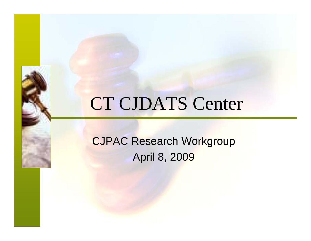## CT CJDATS Center

CJPAC Research Workgroup April 8, 2009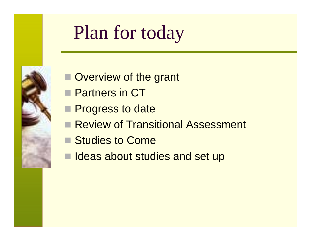# Plan for today

- **Overview of the grant**
- þ. Partners in CT
- **Progress to date**
- Review of Transitional Assessment
- Studies to Come
- $\blacksquare$ Ideas about studies and set up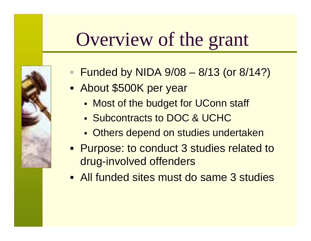# Overview of the grant

- Funded by NIDA 9/08 8/13 (or 8/14?)
- Ξ **About \$500K per year** 
	- Most of the budget for UConn staff
	- Subcontracts to DOC & UCHC
	- **• Others depend on studies undertaken**
- **Purpose: to conduct 3 studies related to** drug-involved offenders
- All funded sites must do same 3 studies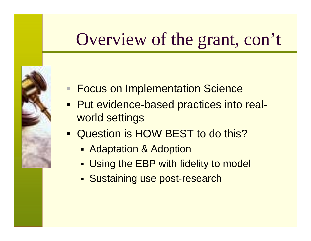## Overview of the grant, con't

- 
- **Focus on Implementation Science**
- Put evidence-based practices into realworld settings
- **Question is HOW BEST to do this?** 
	- Н Adaptation & Adoption
	- Н Using the EBP with fidelity to model
	- Н Sustaining use post-research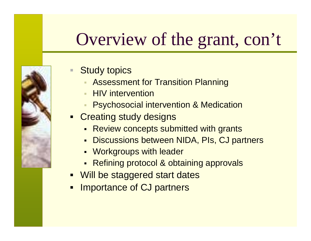## Overview of the grant, con't



- Study topics
	- Assessment for Transition Planning
	- $\blacksquare$ HIV intervention
	- Psychosocial intervention & Medication
- **Creating study designs** 
	- Review concepts submitted with grants
	- Discussions between NIDA, PIs, CJ partners
	- Workgroups with leader
	- Refining protocol & obtaining approvals
- Will be staggered start dates
- $\blacksquare$ Importance of CJ partners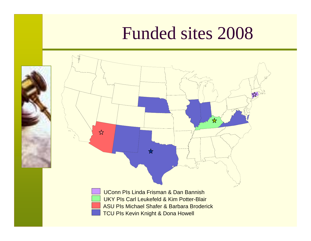#### Funded sites 2008



 $x^2$ 

UConn PIs Linda Frisman & Dan BannishUKY PIs Carl Leukefeld & Kim Potter-BlairTCU PIs Kevin Knight & Dona Howell ASU PIs Michael Shafer & Barbara Broderick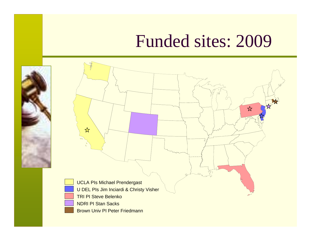#### Funded sites: 2009

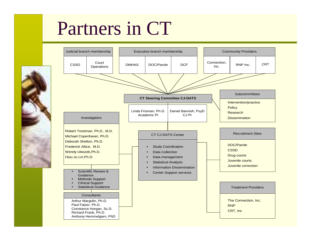# Partners in CT

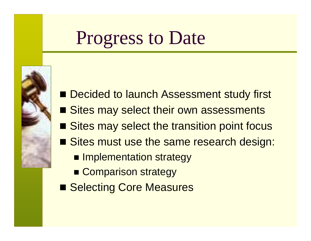## Progress to Date



- Decided to launch Assessment study first
- Sites may select their own assessments
- Sites may select the transition point focus
- **Sites must use the same research design:** 
	- **Implementation strategy**
	- **E** Comparison strategy
- Selecting Core Measures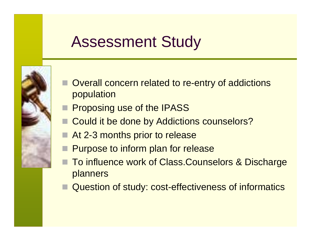#### Assessment Study

- Overall concern related to re-entry of addictions population
- Proposing use of the IPASS
- Could it be done by Addictions counselors?
- At 2-3 months prior to release
- Purpose to inform plan for release
- To influence work of Class.Counselors & Discharge planners
- Question of study: cost-effectiveness of informatics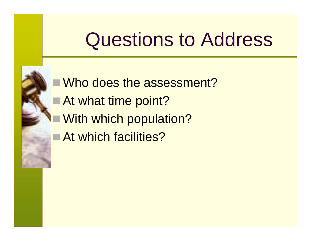# Questions to Address



■Who does the assessment?

- At what time point?
	- With which population?
- At which facilities?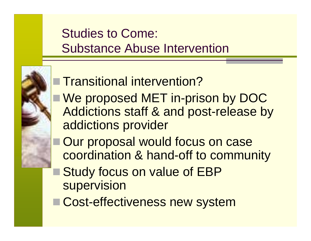#### Studies to Come: Substance Abuse Intervention



#### ■ Transitional intervention?

- We proposed MET in-prison by DOC Addictions staff & and post-release by addictions provider
- Our proposal would focus on case coordination & hand-off to community
- Study focus on value of EBP supervision
- Cost-effectiveness new system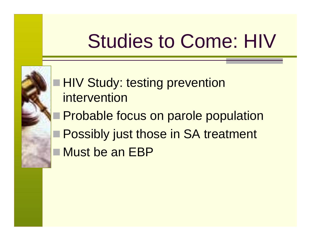# Studies to Come: HIV



- HIV Study: testing prevention intervention
- Probable focus on parole population
- Possibly just those in SA treatment
- Must be an EBP